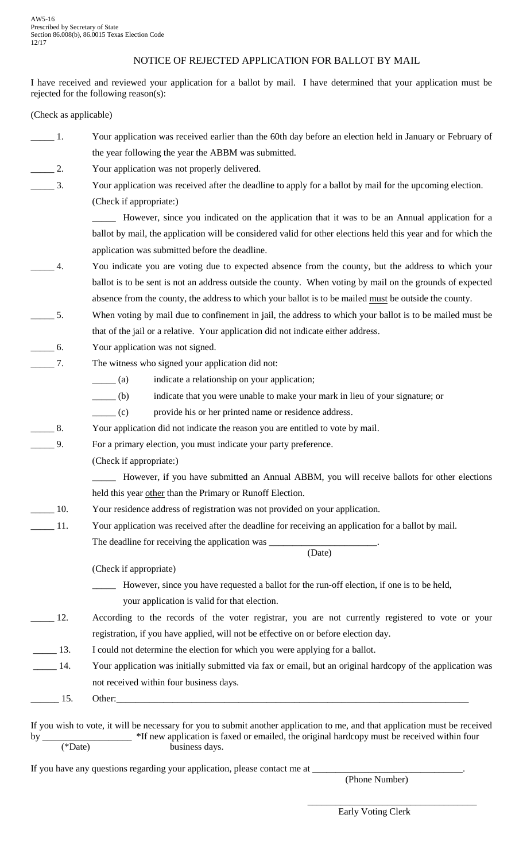## NOTICE OF REJECTED APPLICATION FOR BALLOT BY MAIL

I have received and reviewed your application for a ballot by mail. I have determined that your application must be rejected for the following reason(s):

(Check as applicable)

| $\frac{1}{\sqrt{1-\frac{1}{2}}}$      | Your application was received earlier than the 60th day before an election held in January or February of       |
|---------------------------------------|-----------------------------------------------------------------------------------------------------------------|
|                                       | the year following the year the ABBM was submitted.                                                             |
| $\frac{2}{2}$                         | Your application was not properly delivered.                                                                    |
| $\frac{3}{2}$                         | Your application was received after the deadline to apply for a ballot by mail for the upcoming election.       |
|                                       | (Check if appropriate:)                                                                                         |
|                                       | However, since you indicated on the application that it was to be an Annual application for a                   |
|                                       | ballot by mail, the application will be considered valid for other elections held this year and for which the   |
|                                       | application was submitted before the deadline.                                                                  |
| 4.                                    | You indicate you are voting due to expected absence from the county, but the address to which your              |
|                                       | ballot is to be sent is not an address outside the county. When voting by mail on the grounds of expected       |
|                                       | absence from the county, the address to which your ballot is to be mailed must be outside the county.           |
| 5.                                    | When voting by mail due to confinement in jail, the address to which your ballot is to be mailed must be        |
|                                       | that of the jail or a relative. Your application did not indicate either address.                               |
| $\frac{1}{\sqrt{1-\frac{1}{2}}}\,$ 6. | Your application was not signed.                                                                                |
| $\overline{\phantom{a}}$ 7.           | The witness who signed your application did not:                                                                |
|                                       | $\frac{1}{\sqrt{a}}$<br>indicate a relationship on your application;                                            |
|                                       | $\underline{\hspace{1cm}}$ (b)<br>indicate that you were unable to make your mark in lieu of your signature; or |
|                                       | $\frac{1}{\sqrt{1-\frac{1}{c}}}$<br>provide his or her printed name or residence address.                       |
| $\rule{1em}{0.15mm}$ 8.               | Your application did not indicate the reason you are entitled to vote by mail.                                  |
| 9.                                    | For a primary election, you must indicate your party preference.                                                |
|                                       | (Check if appropriate:)                                                                                         |
|                                       | However, if you have submitted an Annual ABBM, you will receive ballots for other elections                     |
|                                       | held this year other than the Primary or Runoff Election.                                                       |
| 10.                                   | Your residence address of registration was not provided on your application.                                    |
| 11.                                   | Your application was received after the deadline for receiving an application for a ballot by mail.             |
|                                       |                                                                                                                 |
|                                       |                                                                                                                 |
|                                       | (Check if appropriate)                                                                                          |
|                                       | However, since you have requested a ballot for the run-off election, if one is to be held,                      |
|                                       | your application is valid for that election.                                                                    |
| $\frac{12}{2}$                        | According to the records of the voter registrar, you are not currently registered to vote or your               |
|                                       | registration, if you have applied, will not be effective on or before election day.                             |
| $\frac{13}{2}$                        | I could not determine the election for which you were applying for a ballot.                                    |
| $\frac{14}{1}$                        | Your application was initially submitted via fax or email, but an original hardcopy of the application was      |
|                                       | not received within four business days.                                                                         |
| $\frac{15}{2}$                        |                                                                                                                 |

by \_\_\_\_\_\_\_\_\_\_\_\_\_\_\_\_ \*If new application is faxed or emailed, the original hardcopy must be received within four (\*Date) business days.

If you have any questions regarding your application, please contact me at \_

(Phone Number)

\_\_\_\_\_\_\_\_\_\_\_\_\_\_\_\_\_\_\_\_\_\_\_\_\_\_\_\_\_\_\_\_\_\_\_\_